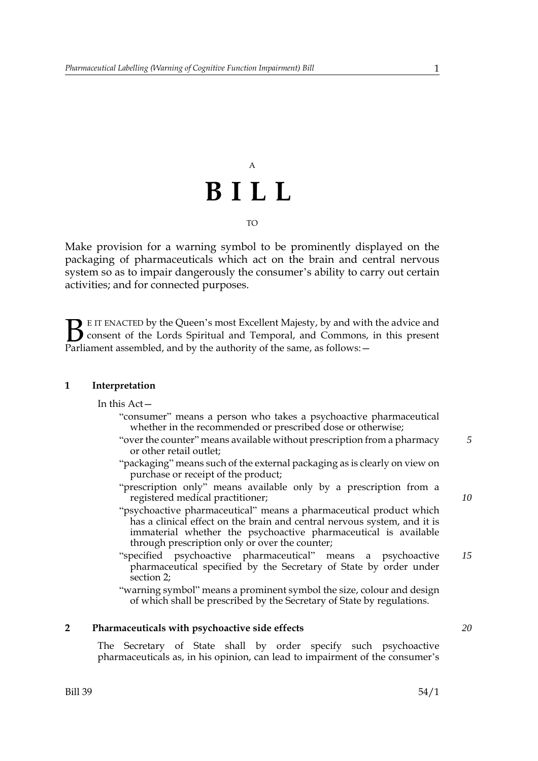## A **BILL** TO

Make provision for a warning symbol to be prominently displayed on the packaging of pharmaceuticals which act on the brain and central nervous system so as to impair dangerously the consumer's ability to carry out certain activities; and for connected purposes.

E IT ENACTED by the Queen's most Excellent Majesty, by and with the advice and consent of the Lords Spiritual and Temporal, and Commons, in this present **B** E IT ENACTED by the Queen's most Excellent Majesty, by and with consent of the Lords Spiritual and Temporal, and Commons, Parliament assembled, and by the authority of the same, as follows:  $-$ 

#### **1 Interpretation**

#### In this Act—

- "consumer" means a person who takes a psychoactive pharmaceutical whether in the recommended or prescribed dose or otherwise;
- "over the counter" means available without prescription from a pharmacy or other retail outlet; *5*
- "packaging" means such of the external packaging as is clearly on view on purchase or receipt of the product;
- "prescription only" means available only by a prescription from a registered medical practitioner;
- "psychoactive pharmaceutical" means a pharmaceutical product which has a clinical effect on the brain and central nervous system, and it is immaterial whether the psychoactive pharmaceutical is available through prescription only or over the counter;
- "specified psychoactive pharmaceutical" means a psychoactive pharmaceutical specified by the Secretary of State by order under section 2; *15*
- "warning symbol" means a prominent symbol the size, colour and design of which shall be prescribed by the Secretary of State by regulations.

## **2 Pharmaceuticals with psychoactive side effects**

The Secretary of State shall by order specify such psychoactive pharmaceuticals as, in his opinion, can lead to impairment of the consumer's

*10*

*20*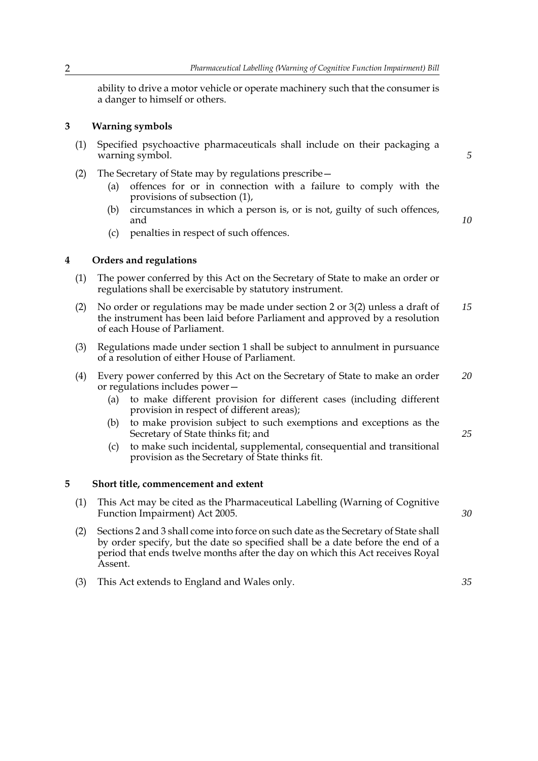ability to drive a motor vehicle or operate machinery such that the consumer is a danger to himself or others.

## **3 Warning symbols**

- (1) Specified psychoactive pharmaceuticals shall include on their packaging a warning symbol.
- (2) The Secretary of State may by regulations prescribe—
	- (a) offences for or in connection with a failure to comply with the provisions of subsection (1),
	- (b) circumstances in which a person is, or is not, guilty of such offences, and

*10*

*5*

(c) penalties in respect of such offences.

#### **4 Orders and regulations**

- (1) The power conferred by this Act on the Secretary of State to make an order or regulations shall be exercisable by statutory instrument.
- (2) No order or regulations may be made under section 2 or 3(2) unless a draft of the instrument has been laid before Parliament and approved by a resolution of each House of Parliament. *15*
- (3) Regulations made under section 1 shall be subject to annulment in pursuance of a resolution of either House of Parliament.
- (4) Every power conferred by this Act on the Secretary of State to make an order or regulations includes power— *20*
	- (a) to make different provision for different cases (including different provision in respect of different areas);
	- (b) to make provision subject to such exemptions and exceptions as the Secretary of State thinks fit; and
	- (c) to make such incidental, supplemental, consequential and transitional provision as the Secretary of State thinks fit.

#### **5 Short title, commencement and extent**

- (1) This Act may be cited as the Pharmaceutical Labelling (Warning of Cognitive Function Impairment) Act 2005.
- (2) Sections 2 and 3 shall come into force on such date as the Secretary of State shall by order specify, but the date so specified shall be a date before the end of a period that ends twelve months after the day on which this Act receives Royal Assent.
- (3) This Act extends to England and Wales only.

*25*

*30*